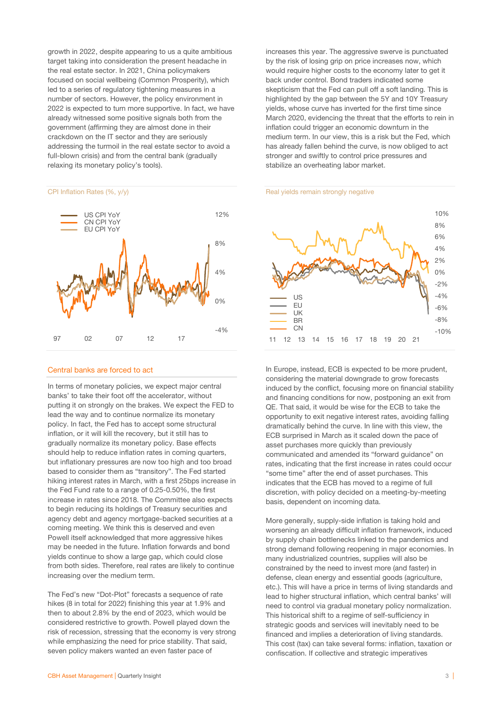growth in 2022, despite appearing to us a quite ambitious target taking into consideration the present headache in the real estate sector. In 2021, China policymakers focused on social wellbeing (Common Prosperity), which led to a series of regulatory tightening measures in a number of sectors. However, the policy environment in 2022 is expected to turn more supportive. In fact, we have already witnessed some positive signals both from the government (affirming they are almost done in their crackdown on the IT sector and they are seriously addressing the turmoil in the real estate sector to avoid a full-blown crisis) and from the central bank (gradually relaxing its monetary policy's tools).

### CPI Inflation Rates (%, y/y)



### Central banks are forced to act

In terms of monetary policies, we expect major central banks' to take their foot off the accelerator, without putting it on strongly on the brakes. We expect the FED to lead the way and to continue normalize its monetary policy. In fact, the Fed has to accept some structural inflation, or it will kill the recovery, but it still has to gradually normalize its monetary policy. Base effects should help to reduce inflation rates in coming quarters, but inflationary pressures are now too high and too broad based to consider them as "transitory". The Fed started hiking interest rates in March, with a first 25bps increase in the Fed Fund rate to a range of 0.25-0.50%, the first increase in rates since 2018. The Committee also expects to begin reducing its holdings of Treasury securities and agency debt and agency mortgage-backed securities at a coming meeting. We think this is deserved and even Powell itself acknowledged that more aggressive hikes may be needed in the future. Inflation forwards and bond yields continue to show a large gap, which could close from both sides. Therefore, real rates are likely to continue increasing over the medium term.

The Fed's new "Dot-Plot" forecasts a sequence of rate hikes (8 in total for 2022) finishing this year at 1.9% and then to about 2.8% by the end of 2023, which would be considered restrictive to growth. Powell played down the risk of recession, stressing that the economy is very strong while emphasizing the need for price stability. That said, seven policy makers wanted an even faster pace of

increases this year. The aggressive swerve is punctuated by the risk of losing grip on price increases now, which would require higher costs to the economy later to get it back under control. Bond traders indicated some skepticism that the Fed can pull off a soft landing. This is highlighted by the gap between the 5Y and 10Y Treasury yields, whose curve has inverted for the first time since March 2020, evidencing the threat that the efforts to rein in inflation could trigger an economic downturn in the medium term. In our view, this is a risk but the Fed, which has already fallen behind the curve, is now obliged to act stronger and swiftly to control price pressures and stabilize an overheating labor market.

### Real yields remain strongly negative



In Europe, instead, ECB is expected to be more prudent, considering the material downgrade to grow forecasts induced by the conflict, focusing more on financial stability and financing conditions for now, postponing an exit from QE. That said, it would be wise for the ECB to take the opportunity to exit negative interest rates, avoiding falling dramatically behind the curve. In line with this view, the ECB surprised in March as it scaled down the pace of asset purchases more quickly than previously communicated and amended its "forward guidance" on rates, indicating that the first increase in rates could occur "some time" after the end of asset purchases. This indicates that the ECB has moved to a regime of full discretion, with policy decided on a meeting-by-meeting basis, dependent on incoming data.

More generally, supply-side inflation is taking hold and worsening an already difficult inflation framework, induced by supply chain bottlenecks linked to the pandemics and strong demand following reopening in major economies. In many industrialized countries, supplies will also be constrained by the need to invest more (and faster) in defense, clean energy and essential goods (agriculture, etc.). This will have a price in terms of living standards and lead to higher structural inflation, which central banks' will need to control via gradual monetary policy normalization. This historical shift to a regime of self-sufficiency in strategic goods and services will inevitably need to be financed and implies a deterioration of living standards. This cost (tax) can take several forms: inflation, taxation or confiscation. If collective and strategic imperatives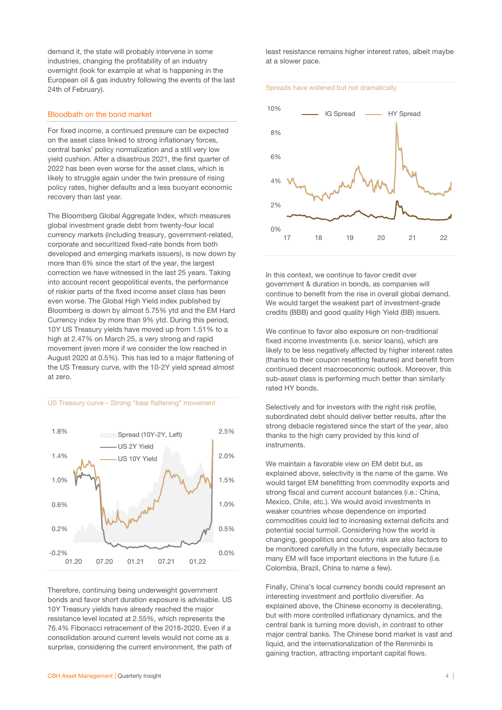demand it, the state will probably intervene in some industries, changing the profitability of an industry overnight (look for example at what is happening in the European oil & gas industry following the events of the last 24th of February).

### Bloodbath on the bond market

For fixed income, a continued pressure can be expected on the asset class linked to strong inflationary forces, central banks' policy normalization and a still very low yield cushion. After a disastrous 2021, the first quarter of 2022 has been even worse for the asset class, which is likely to struggle again under the twin pressure of rising policy rates, higher defaults and a less buoyant economic recovery than last year.

The Bloomberg Global Aggregate Index, which measures global investment grade debt from twenty-four local currency markets (including treasury, government-related, corporate and securitized fixed-rate bonds from both developed and emerging markets issuers), is now down by more than 6% since the start of the year, the largest correction we have witnessed in the last 25 years. Taking into account recent geopolitical events, the performance of riskier parts of the fixed income asset class has been even worse. The Global High Yield index published by Bloomberg is down by almost 5.75% ytd and the EM Hard Currency index by more than 9% ytd. During this period, 10Y US Treasury yields have moved up from 1.51% to a high at 2.47% on March 25, a very strong and rapid movement (even more if we consider the low reached in August 2020 at 0.5%). This has led to a major flattening of the US Treasury curve, with the 10-2Y yield spread almost at zero.

### US Treasury curve – Strong "bear flattening" movement



Therefore, continuing being underweight government bonds and favor short duration exposure is advisable. US 10Y Treasury yields have already reached the major resistance level located at 2.55%, which represents the 76.4% Fibonacci retracement of the 2018-2020. Even if a consolidation around current levels would not come as a surprise, considering the current environment, the path of least resistance remains higher interest rates, albeit maybe at a slower pace.





In this context, we continue to favor credit over government & duration in bonds, as companies will continue to benefit from the rise in overall global demand. We would target the weakest part of investment-grade credits (BBB) and good quality High Yield (BB) issuers.

We continue to favor also exposure on non-traditional fixed income investments (i.e. senior loans), which are likely to be less negatively affected by higher interest rates (thanks to their coupon resetting features) and benefit from continued decent macroeconomic outlook. Moreover, this sub-asset class is performing much better than similarly rated HY bonds.

Selectively and for investors with the right risk profile, subordinated debt should deliver better results, after the strong debacle registered since the start of the year, also thanks to the high carry provided by this kind of instruments.

We maintain a favorable view on EM debt but, as explained above, selectivity is the name of the game. We would target EM benefitting from commodity exports and strong fiscal and current account balances (i.e.: China, Mexico, Chile, etc.). We would avoid investments in weaker countries whose dependence on imported commodities could led to increasing external deficits and potential social turmoil. Considering how the world is changing, geopolitics and country risk are also factors to be monitored carefully in the future, especially because many EM will face important elections in the future (i.e. Colombia, Brazil, China to name a few).

Finally, China's local currency bonds could represent an interesting investment and portfolio diversifier. As explained above, the Chinese economy is decelerating, but with more controlled inflationary dynamics, and the central bank is turning more dovish, in contrast to other major central banks. The Chinese bond market is vast and liquid, and the internationalization of the Renminbi is gaining traction, attracting important capital flows.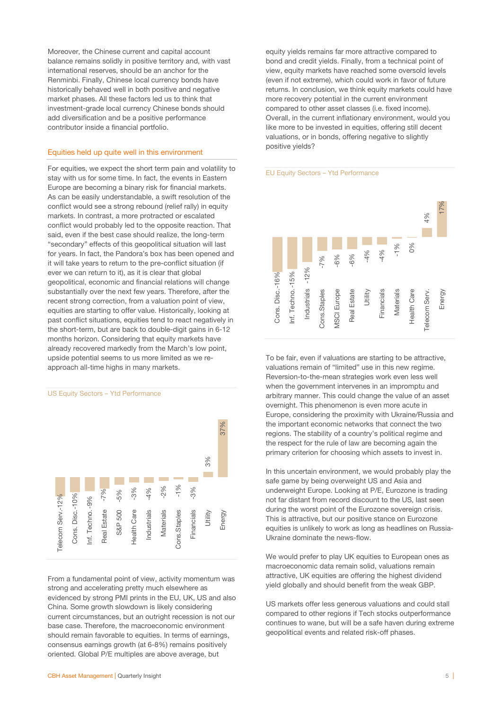Moreover, the Chinese current and capital account balance remains solidly in positive territory and, with vast international reserves, should be an anchor for the Renminbi. Finally, Chinese local currency bonds have historically behaved well in both positive and negative market phases. All these factors led us to think that investment-grade local currency Chinese bonds should add diversification and be a positive performance contributor inside a financial portfolio.

# Equities held up quite well in this environment

For equities, we expect the short term pain and volatility to stay with us for some time. In fact, the events in Eastern Europe are becoming a binary risk for financial markets. As can be easily understandable, a swift resolution of the conflict would see a strong rebound (relief rally) in equity markets. In contrast, a more protracted or escalated conflict would probably led to the opposite reaction. That said, even if the best case should realize, the long-term "secondary" effects of this geopolitical situation will last for years. In fact, the Pandora's box has been opened and it will take years to return to the pre-conflict situation (if ever we can return to it), as it is clear that global geopolitical, economic and financial relations will change substantially over the next few years. Therefore, after the recent strong correction, from a valuation point of view, equities are starting to offer value. Historically, looking at past conflict situations, equities tend to react negatively in the short-term, but are back to double-digit gains in 6-12 months horizon. Considering that equity markets have already recovered markedly from the March's low point, upside potential seems to us more limited as we reapproach all-time highs in many markets.

# US Equity Sectors – Ytd Performance



From a fundamental point of view, activity momentum was strong and accelerating pretty much elsewhere as evidenced by strong PMI prints in the EU, UK, US and also China. Some growth slowdown is likely considering current circumstances, but an outright recession is not our base case. Therefore, the macroeconomic environment should remain favorable to equities. In terms of earnings, consensus earnings growth (at 6-8%) remains positively oriented. Global P/E multiples are above average, but

equity yields remains far more attractive compared to bond and credit yields. Finally, from a technical point of view, equity markets have reached some oversold levels (even if not extreme), which could work in favor of future returns. In conclusion, we think equity markets could have more recovery potential in the current environment compared to other asset classes (i.e. fixed income). Overall, in the current inflationary environment, would you like more to be invested in equities, offering still decent valuations, or in bonds, offering negative to slightly positive yields?

### EU Equity Sectors – Ytd Performance



To be fair, even if valuations are starting to be attractive, valuations remain of "limited" use in this new regime. Reversion-to-the-mean strategies work even less well when the government intervenes in an impromptu and arbitrary manner. This could change the value of an asset overnight. This phenomenon is even more acute in Europe, considering the proximity with Ukraine/Russia and the important economic networks that connect the two regions. The stability of a country's political regime and the respect for the rule of law are becoming again the primary criterion for choosing which assets to invest in.

In this uncertain environment, we would probably play the safe game by being overweight US and Asia and underweight Europe. Looking at P/E, Eurozone is trading not far distant from record discount to the US, last seen during the worst point of the Eurozone sovereign crisis. This is attractive, but our positive stance on Eurozone equities is unlikely to work as long as headlines on Russia-Ukraine dominate the news-flow.

We would prefer to play UK equities to European ones as macroeconomic data remain solid, valuations remain attractive, UK equities are offering the highest dividend yield globally and should benefit from the weak GBP.

US markets offer less generous valuations and could stall compared to other regions if Tech stocks outperformance continues to wane, but will be a safe haven during extreme geopolitical events and related risk-off phases.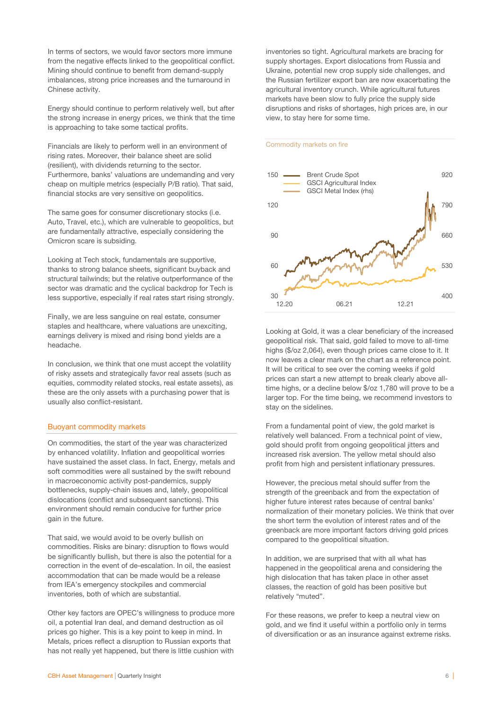In terms of sectors, we would favor sectors more immune from the negative effects linked to the geopolitical conflict. Mining should continue to benefit from demand-supply imbalances, strong price increases and the turnaround in Chinese activity.

Energy should continue to perform relatively well, but after the strong increase in energy prices, we think that the time is approaching to take some tactical profits.

Financials are likely to perform well in an environment of rising rates. Moreover, their balance sheet are solid (resilient), with dividends returning to the sector. Furthermore, banks' valuations are undemanding and very cheap on multiple metrics (especially P/B ratio). That said, financial stocks are very sensitive on geopolitics.

The same goes for consumer discretionary stocks (i.e. Auto, Travel, etc.), which are vulnerable to geopolitics, but are fundamentally attractive, especially considering the Omicron scare is subsiding.

Looking at Tech stock, fundamentals are supportive, thanks to strong balance sheets, significant buyback and structural tailwinds; but the relative outperformance of the sector was dramatic and the cyclical backdrop for Tech is less supportive, especially if real rates start rising strongly.

Finally, we are less sanguine on real estate, consumer staples and healthcare, where valuations are unexciting, earnings delivery is mixed and rising bond yields are a headache.

In conclusion, we think that one must accept the volatility of risky assets and strategically favor real assets (such as equities, commodity related stocks, real estate assets), as these are the only assets with a purchasing power that is usually also conflict-resistant.

### Buoyant commodity markets

On commodities, the start of the year was characterized by enhanced volatility. Inflation and geopolitical worries have sustained the asset class. In fact, Energy, metals and soft commodities were all sustained by the swift rebound in macroeconomic activity post-pandemics, supply bottlenecks, supply-chain issues and, lately, geopolitical dislocations (conflict and subsequent sanctions). This environment should remain conducive for further price gain in the future.

That said, we would avoid to be overly bullish on commodities. Risks are binary: disruption to flows would be significantly bullish, but there is also the potential for a correction in the event of de-escalation. In oil, the easiest accommodation that can be made would be a release from IEA's emergency stockpiles and commercial inventories, both of which are substantial.

Other key factors are OPEC's willingness to produce more oil, a potential Iran deal, and demand destruction as oil prices go higher. This is a key point to keep in mind. In Metals, prices reflect a disruption to Russian exports that has not really yet happened, but there is little cushion with inventories so tight. Agricultural markets are bracing for supply shortages. Export dislocations from Russia and Ukraine, potential new crop supply side challenges, and the Russian fertilizer export ban are now exacerbating the agricultural inventory crunch. While agricultural futures markets have been slow to fully price the supply side disruptions and risks of shortages, high prices are, in our view, to stay here for some time.

### Commodity markets on fire



Looking at Gold, it was a clear beneficiary of the increased geopolitical risk. That said, gold failed to move to all-time highs (\$/oz 2,064), even though prices came close to it. It now leaves a clear mark on the chart as a reference point. It will be critical to see over the coming weeks if gold prices can start a new attempt to break clearly above alltime highs, or a decline below \$/oz 1,780 will prove to be a larger top. For the time being, we recommend investors to stay on the sidelines.

From a fundamental point of view, the gold market is relatively well balanced. From a technical point of view, gold should profit from ongoing geopolitical jitters and increased risk aversion. The yellow metal should also profit from high and persistent inflationary pressures.

However, the precious metal should suffer from the strength of the greenback and from the expectation of higher future interest rates because of central banks' normalization of their monetary policies. We think that over the short term the evolution of interest rates and of the greenback are more important factors driving gold prices compared to the geopolitical situation.

In addition, we are surprised that with all what has happened in the geopolitical arena and considering the high dislocation that has taken place in other asset classes, the reaction of gold has been positive but relatively "muted".

For these reasons, we prefer to keep a neutral view on gold, and we find it useful within a portfolio only in terms of diversification or as an insurance against extreme risks.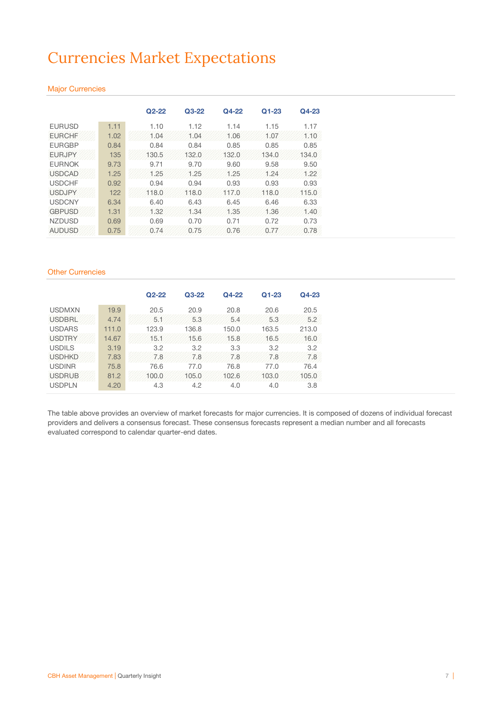# Currencies Market Expectations

# Major Currencies

|               |      | $Q2 - 22$ | $Q3-22$ | Q4-22 | $Q1 - 23$ | $Q4-23$ |  |
|---------------|------|-----------|---------|-------|-----------|---------|--|
| <b>EURUSD</b> | 1.11 | 1.10      | 1.12    | 1.14  | 1.15      | 1.17    |  |
| <b>EURCHF</b> | 1.02 | 1.04      | 1.04    | 1.06  | 1.07      | 1.10    |  |
| <b>FURGBP</b> | 0.84 | 0.84      | 0.84    | 0.85  | 0.85      | 0.85    |  |
| <b>EURJPY</b> | 135  | 130.5     | 132.0   | 132.0 | 134.0     | 134.0   |  |
| <b>EURNOK</b> | 9.73 | 9.71      | 9.70    | 9.60  | 9.58      | 9.50    |  |
| <b>USDCAD</b> | 1.25 | 1.25      | 1.25    | 1.25  | 1.24      | 1.22    |  |
| <b>USDCHF</b> | 0.92 | 0.94      | 0.94    | 0.93  | 0.93      | 0.93    |  |
| <b>USDJPY</b> | 122  | 118.0     | 118.0   | 117.0 | 118.0     | 115.0   |  |
| <b>USDCNY</b> | 6.34 | 6.40      | 6.43    | 6.45  | 6.46      | 6.33    |  |
| <b>GBPUSD</b> | 1.31 | 1.32      | 1.34    | 1.35  | 1.36      | 1.40    |  |
| <b>NZDUSD</b> | 0.69 | 0.69      | 0.70    | 0.71  | 0.72      | 0.73    |  |
| <b>AUDUSD</b> | 0.75 | 0.74      | 0.75    | 0.76  | 0.77      | 0.78    |  |

# Other Currencies

|               |       | $Q2 - 22$ | $Q3-22$ | $Q4-22$ | $Q1 - 23$ | $Q4-23$ |
|---------------|-------|-----------|---------|---------|-----------|---------|
| <b>USDMXN</b> | 19.9  | 20.5      | 20.9    | 20.8    | 20.6      | 20.5    |
| <b>USDBRL</b> | 4.74  | 5.1       | 5.3     | 5.4     | 5.3       | 5.2     |
| <b>USDARS</b> | 111.0 | 123.9     | 136.8   | 150.0   | 163.5     | 213.0   |
| <b>USDTRY</b> | 14.67 | 15.1      | 15.6    | 15.8    | 16.5      | 16.0    |
| <b>USDILS</b> | 3.19  | 3.2       | 3.2     | 3.3     | 3.2       | 3.2     |
| <b>USDHKD</b> | 7.83  | 7.8       | 7.8     | 7.8     | 7.8       | 7.8     |
| <b>USDINR</b> | 75.8  | 76.6      | 77.0    | 76.8    | 77.0      | 76.4    |
| <b>USDRUB</b> | 81.2  | 100.0     | 105.0   | 102.6   | 103.0     | 105.0   |
| <b>USDPLN</b> | 4.20  | 4.3       | 4.2     | 4.0     | 4.0       | 3.8     |

The table above provides an overview of market forecasts for major currencies. It is composed of dozens of individual forecast providers and delivers a consensus forecast. These consensus forecasts represent a median number and all forecasts evaluated correspond to calendar quarter-end dates.

Future forecasts do not guarantee future performance and should only be used for indicative purposes.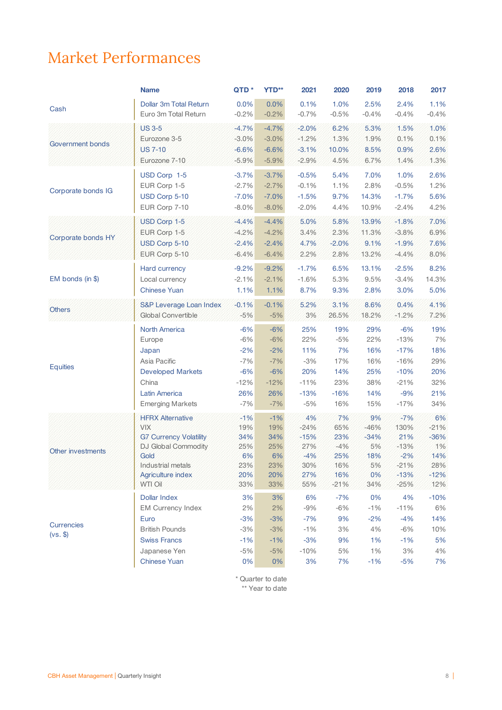# Market Performances

|                    | <b>Name</b>                   | QTD *    | <b>YTD**</b> | 2021    | 2020    | 2019    | 2018    | 2017    |
|--------------------|-------------------------------|----------|--------------|---------|---------|---------|---------|---------|
|                    | Dollar 3m Total Return        | 0.0%     | 0.0%         | 0.1%    | 1.0%    | 2.5%    | 2.4%    | 1.1%    |
| Cash               | Euro 3m Total Return          | $-0.2%$  | $-0.2%$      | $-0.7%$ | $-0.5%$ | $-0.4%$ | $-0.4%$ | $-0.4%$ |
|                    | <b>US 3-5</b>                 | $-4.7%$  | $-4.7%$      | $-2.0%$ | 6.2%    | 5.3%    | 1.5%    | 1.0%    |
|                    | Eurozone 3-5                  | $-3.0\%$ | $-3.0%$      | $-1.2%$ | 1.3%    | 1.9%    | 0.1%    | 0.1%    |
| Government bonds   | <b>US 7-10</b>                | $-6.6%$  | $-6.6%$      | $-3.1%$ | 10.0%   | 8.5%    | 0.9%    | 2.6%    |
|                    | Eurozone 7-10                 | $-5.9%$  | $-5.9%$      | $-2.9%$ | 4.5%    | 6.7%    | 1.4%    | 1.3%    |
|                    |                               |          |              |         |         |         |         |         |
|                    | USD Corp 1-5                  | $-3.7%$  | $-3.7%$      | $-0.5%$ | 5.4%    | 7.0%    | 1.0%    | 2.6%    |
| Corporate bonds IG | EUR Corp 1-5                  | $-2.7%$  | $-2.7%$      | $-0.1%$ | 1.1%    | 2.8%    | $-0.5%$ | 1.2%    |
|                    | USD Corp 5-10                 | $-7.0%$  | $-7.0%$      | $-1.5%$ | 9.7%    | 14.3%   | $-1.7%$ | 5.6%    |
|                    | EUR Corp 7-10                 | $-8.0\%$ | $-8.0%$      | $-2.0%$ | 4.4%    | 10.9%   | $-2.4%$ | 4.2%    |
|                    | USD Corp 1-5                  | $-4.4%$  | $-4.4%$      | 5.0%    | 5.8%    | 13.9%   | $-1.8%$ | 7.0%    |
|                    | EUR Corp 1-5                  | $-4.2%$  | $-4.2%$      | 3.4%    | 2.3%    | 11.3%   | $-3.8%$ | 6.9%    |
| Corporate bonds HY | USD Corp 5-10                 | $-2.4%$  | $-2.4%$      | 4.7%    | $-2.0%$ | 9.1%    | $-1.9%$ | 7.6%    |
|                    | EUR Corp 5-10                 | $-6.4%$  | $-6.4%$      | 2.2%    | 2.8%    | 13.2%   | $-4.4%$ | 8.0%    |
|                    | Hard currency                 | $-9.2%$  | $-9.2%$      | $-1.7%$ | 6.5%    | 13.1%   | $-2.5%$ | 8.2%    |
| $EM$ bonds (in \$) | Local currency                | $-2.1%$  | $-2.1%$      | $-1.6%$ | 5.3%    | 9.5%    | $-3.4%$ | 14.3%   |
|                    | <b>Chinese Yuan</b>           |          |              |         |         |         |         |         |
|                    |                               | 1.1%     | 1.1%         | 8.7%    | 9.3%    | 2.8%    | 3.0%    | 5.0%    |
| <b>Others</b>      | S&P Leverage Loan Index       | $-0.1%$  | $-0.1%$      | 5.2%    | 3.1%    | 8.6%    | 0.4%    | 4.1%    |
|                    | Global Convertible            | $-5%$    | $-5%$        | 3%      | 26.5%   | 18.2%   | $-1.2%$ | 7.2%    |
|                    | <b>North America</b>          | $-6%$    | $-6%$        | 25%     | 19%     | 29%     | $-6%$   | 19%     |
|                    | Europe                        | $-6%$    | $-6%$        | 22%     | $-5%$   | 22%     | $-13%$  | 7%      |
|                    | Japan                         | $-2%$    | $-2%$        | 11%     | 7%      | 16%     | $-17%$  | 18%     |
|                    | Asia Pacific                  | $-7%$    | $-7%$        | $-3%$   | 17%     | 16%     | $-16%$  | 29%     |
| <b>Equities</b>    | <b>Developed Markets</b>      | $-6%$    | $-6%$        | 20%     | 14%     | 25%     | $-10%$  | 20%     |
|                    | China                         | $-12%$   | $-12%$       | $-11%$  | 23%     | 38%     | $-21%$  | 32%     |
|                    | <b>Latin America</b>          | 26%      | 26%          | $-13%$  | $-16%$  | 14%     | $-9%$   | 21%     |
|                    | <b>Emerging Markets</b>       | $-7%$    | $-7%$        | $-5%$   | 16%     | 15%     | $-17%$  | 34%     |
|                    | <b>HFRX Alternative</b>       | $-1%$    | $-1%$        | 4%      | 7%      | 9%      | $-7%$   | 6%      |
|                    | <b>VIX</b>                    | 19%      | 19%          | $-24%$  | 65%     | $-46%$  | 130%    | $-21%$  |
|                    | <b>G7 Currency Volatility</b> | 34%      | 34%          | $-15%$  | 23%     | $-34%$  | 21%     | $-36%$  |
|                    | DJ Global Commodity           | 25%      | 25%          | 27%     | $-4%$   | 5%      | $-13%$  | 1%      |
| Other investments  | Gold                          | 6%       | 6%           | $-4%$   | 25%     | 18%     | $-2%$   | 14%     |
|                    | Industrial metals             | 23%      | 23%          | 30%     | 16%     | 5%      | $-21%$  | 28%     |
|                    | Agriculture index             | 20%      | 20%          | 27%     | 16%     | 0%      | $-13%$  | $-12%$  |
|                    | WTI Oil                       | 33%      | 33%          | 55%     | $-21%$  | 34%     | $-25%$  | 12%     |
|                    | <b>Dollar Index</b>           | 3%       | 3%           | 6%      | $-7%$   | 0%      | 4%      | $-10%$  |
|                    | <b>EM Currency Index</b>      | 2%       | 2%           | $-9%$   | $-6%$   | $-1%$   | $-11%$  | 6%      |
|                    | Euro                          | $-3%$    | $-3%$        | $-7%$   | 9%      | $-2%$   | $-4%$   | 14%     |
| Currencies         | <b>British Pounds</b>         | $-3%$    | $-3%$        | $-1%$   | 3%      | 4%      | $-6%$   | 10%     |
| $(vs.$ \$)         | <b>Swiss Francs</b>           | $-1%$    | $-1%$        | $-3%$   | 9%      | 1%      | $-1%$   | 5%      |
|                    | Japanese Yen                  | $-5%$    | $-5%$        | $-10%$  | $5%$    | 1%      | $3%$    | 4%      |
|                    | <b>Chinese Yuan</b>           | $0\%$    | 0%           | 3%      | 7%      | $-1%$   | $-5%$   | 7%      |
|                    |                               |          |              |         |         |         |         |         |

\* Quarter to date \*\* Year to date

Past performance is not a reliable indicator of future performance and should not be solely relied upon.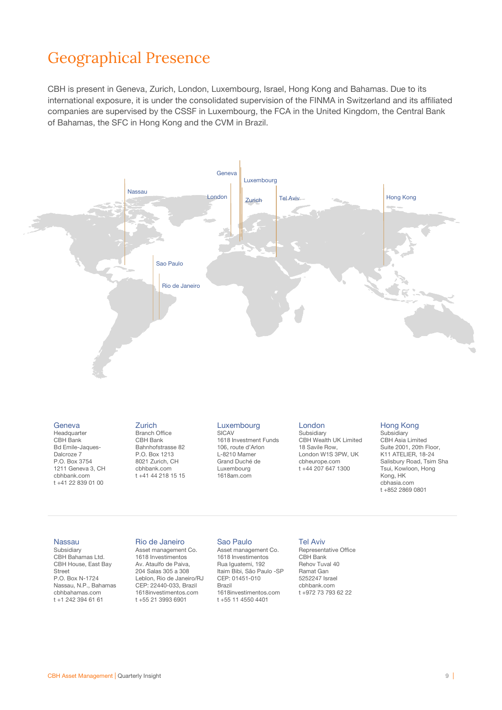# Geographical Presence

CBH is present in Geneva, Zurich, London, Luxembourg, Israel, Hong Kong and Bahamas. Due to its international exposure, it is under the consolidated supervision of the FINMA in Switzerland and its affiliated companies are supervised by the CSSF in Luxembourg, the FCA in the United Kingdom, the Central Bank of Bahamas, the SFC in Hong Kong and the CVM in Brazil.



#### **Geneva**

Headquarter CBH Bank Bd Emile-Jaques-Dalcroze 7 P.O. Box 3754 1211 Geneva 3, CH cbhbank.com t +41 22 839 01 00

#### Branch Office CBH Bank Bahnhofstrasse 82 P.O. Box 1213

8021 Zurich, CH cbhbank.com t +41 44 218 15 15

Rio de Janeiro Asset management Co. 1618 Investimentos Av. Ataulfo de Paiva, 204 Salas 305 a 308 Leblon, Rio de Janeiro/RJ CEP: 22440-033, Brazil 1618investimentos.com t +55 21 3993 6901

Zurich

#### Luxembourg SICAV

1618 Investment Funds 106, route d'Arlon L-8210 Mamer Grand Duché de Luxembourg 1618am.com

#### London

Subsidiary CBH Wealth UK Limited 18 Savile Row, London W1S 3PW, UK cbheurope.com t +44 207 647 1300

### Hong Kong

**Subsidiary** CBH Asia Limited Suite 2001, 20th Floor, K11 ATELIER, 18-24 Salisbury Road, Tsim Sha Tsui, Kowloon, Hong Kong, HK cbhasia.com t +852 2869 0801

### Nassau

Subsidiary CBH Bahamas Ltd. CBH House, East Bay Street P.O. Box N-1724 Nassau, N.P., Bahamas cbhbahamas.com t +1 242 394 61 61

# Sao Paulo

Asset management Co. 1618 Investimentos Rua Iguatemi, 192 Itaim Bibi, São Paulo -SP CEP: 01451-010 Brazil 1618investimentos.com t +55 11 4550 4401

## Tel Aviv

Representative Office CBH Bank Rehov Tuval 40 Ramat Gan 5252247 Israel cbhbank.com t +972 73 793 62 22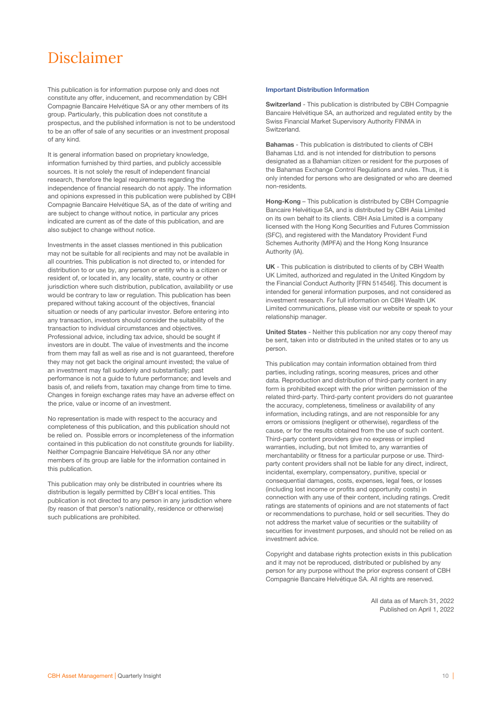# Disclaimer

This publication is for information purpose only and does not constitute any offer, inducement, and recommendation by CBH Compagnie Bancaire Helvétique SA or any other members of its group. Particularly, this publication does not constitute a prospectus, and the published information is not to be understood to be an offer of sale of any securities or an investment proposal of any kind.

It is general information based on proprietary knowledge, information furnished by third parties, and publicly accessible sources. It is not solely the result of independent financial research, therefore the legal requirements regarding the independence of financial research do not apply. The information and opinions expressed in this publication were published by CBH Compagnie Bancaire Helvétique SA, as of the date of writing and are subject to change without notice, in particular any prices indicated are current as of the date of this publication, and are also subject to change without notice.

Investments in the asset classes mentioned in this publication may not be suitable for all recipients and may not be available in all countries. This publication is not directed to, or intended for distribution to or use by, any person or entity who is a citizen or resident of, or located in, any locality, state, country or other jurisdiction where such distribution, publication, availability or use would be contrary to law or regulation. This publication has been prepared without taking account of the objectives, financial situation or needs of any particular investor. Before entering into any transaction, investors should consider the suitability of the transaction to individual circumstances and objectives. Professional advice, including tax advice, should be sought if investors are in doubt. The value of investments and the income from them may fall as well as rise and is not guaranteed, therefore they may not get back the original amount invested; the value of an investment may fall suddenly and substantially; past performance is not a guide to future performance; and levels and basis of, and reliefs from, taxation may change from time to time. Changes in foreign exchange rates may have an adverse effect on the price, value or income of an investment.

No representation is made with respect to the accuracy and completeness of this publication, and this publication should not be relied on. Possible errors or incompleteness of the information contained in this publication do not constitute grounds for liability. Neither Compagnie Bancaire Helvétique SA nor any other members of its group are liable for the information contained in this publication.

This publication may only be distributed in countries where its distribution is legally permitted by CBH's local entities. This publication is not directed to any person in any jurisdiction where (by reason of that person's nationality, residence or otherwise) such publications are prohibited.

### Important Distribution Information

Switzerland - This publication is distributed by CBH Compagnie Bancaire Helvétique SA, an authorized and regulated entity by the Swiss Financial Market Supervisory Authority FINMA in Switzerland.

Bahamas - This publication is distributed to clients of CBH Bahamas Ltd. and is not intended for distribution to persons designated as a Bahamian citizen or resident for the purposes of the Bahamas Exchange Control Regulations and rules. Thus, it is only intended for persons who are designated or who are deemed non-residents.

Hong-Kong – This publication is distributed by CBH Compagnie Bancaire Helvétique SA, and is distributed by CBH Asia Limited on its own behalf to its clients. CBH Asia Limited is a company licensed with the Hong Kong Securities and Futures Commission (SFC), and registered with the Mandatory Provident Fund Schemes Authority (MPFA) and the Hong Kong Insurance Authority (IA).

UK - This publication is distributed to clients of by CBH Wealth UK Limited, authorized and regulated in the United Kingdom by the Financial Conduct Authority [FRN 514546]. This document is intended for general information purposes, and not considered as investment research. For full information on CBH Wealth UK Limited communications, please visit our website or speak to your relationship manager.

United States - Neither this publication nor any copy thereof may be sent, taken into or distributed in the united states or to any us person.

This publication may contain information obtained from third parties, including ratings, scoring measures, prices and other data. Reproduction and distribution of third-party content in any form is prohibited except with the prior written permission of the related third-party. Third-party content providers do not guarantee the accuracy, completeness, timeliness or availability of any information, including ratings, and are not responsible for any errors or omissions (negligent or otherwise), regardless of the cause, or for the results obtained from the use of such content. Third-party content providers give no express or implied warranties, including, but not limited to, any warranties of merchantability or fitness for a particular purpose or use. Thirdparty content providers shall not be liable for any direct, indirect, incidental, exemplary, compensatory, punitive, special or consequential damages, costs, expenses, legal fees, or losses (including lost income or profits and opportunity costs) in connection with any use of their content, including ratings. Credit ratings are statements of opinions and are not statements of fact or recommendations to purchase, hold or sell securities. They do not address the market value of securities or the suitability of securities for investment purposes, and should not be relied on as investment advice.

Copyright and database rights protection exists in this publication and it may not be reproduced, distributed or published by any person for any purpose without the prior express consent of CBH Compagnie Bancaire Helvétique SA. All rights are reserved.

> All data as of March 31, 2022 Published on April 1, 2022

Past performance is not a reliable indicator of future performance and should not be solely relied upon.